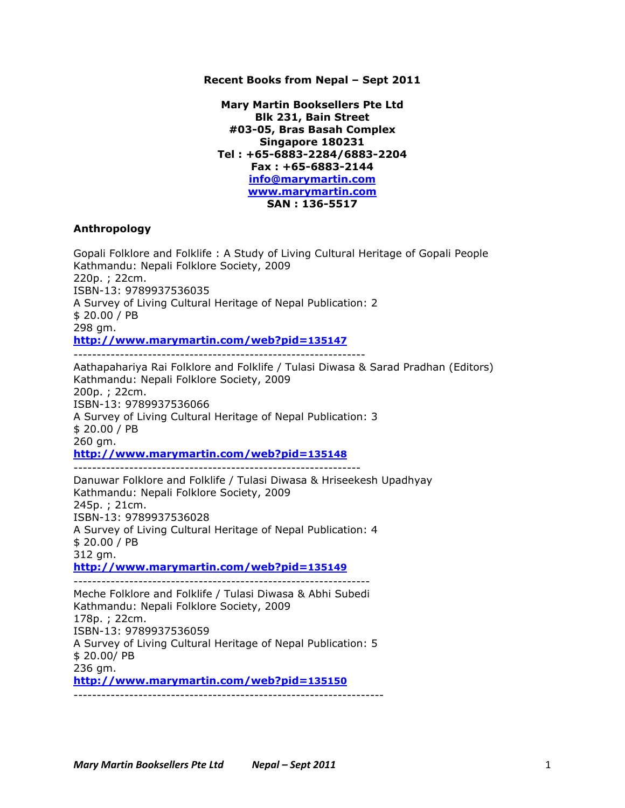### **Recent Books from Nepal – Sept 2011**

**Mary Martin Booksellers Pte Ltd Blk 231, Bain Street #03-05, Bras Basah Complex Singapore 180231 Tel : +65-6883-2284/6883-2204 Fax : +65-6883-2144 info@marymartin.com www.marymartin.com SAN : 136-5517**

#### **Anthropology**

Gopali Folklore and Folklife : A Study of Living Cultural Heritage of Gopali People Kathmandu: Nepali Folklore Society, 2009 220p. ; 22cm. ISBN-13: 9789937536035 A Survey of Living Cultural Heritage of Nepal Publication: 2 \$ 20.00 / PB 298 gm. **http://www.marymartin.com/web?pid=135147** --------------------------------------------------------------- Aathapahariya Rai Folklore and Folklife / Tulasi Diwasa & Sarad Pradhan (Editors) Kathmandu: Nepali Folklore Society, 2009 200p. ; 22cm. ISBN-13: 9789937536066 A Survey of Living Cultural Heritage of Nepal Publication: 3 \$ 20.00 / PB 260 gm. **http://www.marymartin.com/web?pid=135148** -------------------------------------------------------------- Danuwar Folklore and Folklife / Tulasi Diwasa & Hriseekesh Upadhyay Kathmandu: Nepali Folklore Society, 2009 245p. ; 21cm. ISBN-13: 9789937536028 A Survey of Living Cultural Heritage of Nepal Publication: 4 \$ 20.00 / PB 312 gm. **http://www.marymartin.com/web?pid=135149** ---------------------------------------------------------------- Meche Folklore and Folklife / Tulasi Diwasa & Abhi Subedi Kathmandu: Nepali Folklore Society, 2009 178p. ; 22cm. ISBN-13: 9789937536059 A Survey of Living Cultural Heritage of Nepal Publication: 5 \$ 20.00/ PB 236 gm. **http://www.marymartin.com/web?pid=135150** -------------------------------------------------------------------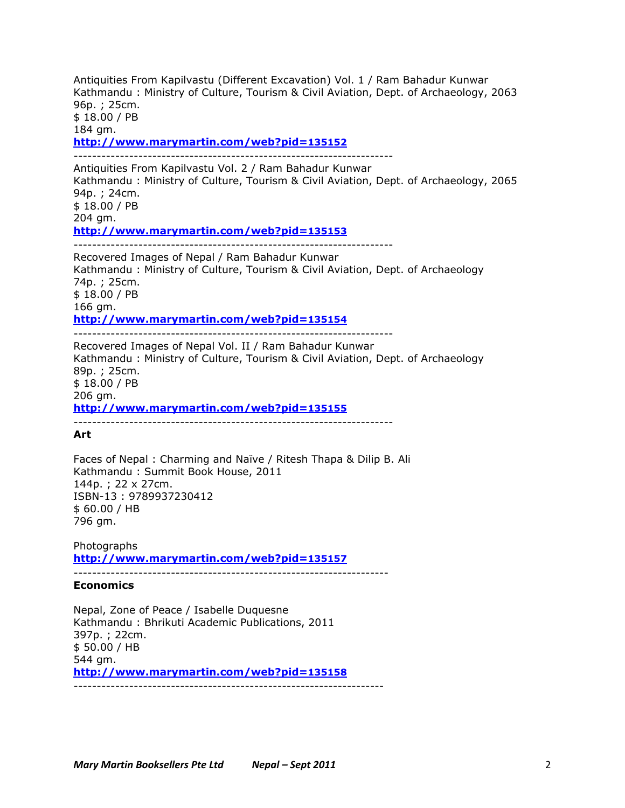Antiquities From Kapilvastu (Different Excavation) Vol. 1 / Ram Bahadur Kunwar Kathmandu : Ministry of Culture, Tourism & Civil Aviation, Dept. of Archaeology, 2063 96p. ; 25cm. \$ 18.00 / PB

184 gm. **http://www.marymartin.com/web?pid=135152**

---------------------------------------------------------------------

Antiquities From Kapilvastu Vol. 2 / Ram Bahadur Kunwar Kathmandu : Ministry of Culture, Tourism & Civil Aviation, Dept. of Archaeology, 2065 94p. ; 24cm. \$ 18.00 / PB 204 gm. **http://www.marymartin.com/web?pid=135153** ---------------------------------------------------------------------

Recovered Images of Nepal / Ram Bahadur Kunwar Kathmandu : Ministry of Culture, Tourism & Civil Aviation, Dept. of Archaeology 74p. ; 25cm. \$ 18.00 / PB 166 gm. **http://www.marymartin.com/web?pid=135154** ---------------------------------------------------------------------

Recovered Images of Nepal Vol. II / Ram Bahadur Kunwar Kathmandu : Ministry of Culture, Tourism & Civil Aviation, Dept. of Archaeology 89p. ; 25cm. \$ 18.00 / PB 206 gm. **http://www.marymartin.com/web?pid=135155**

---------------------------------------------------------------------

# **Art**

Faces of Nepal : Charming and Naïve / Ritesh Thapa & Dilip B. Ali Kathmandu : Summit Book House, 2011 144p. ; 22 x 27cm. ISBN-13 : 9789937230412 \$ 60.00 / HB 796 gm.

Photographs **http://www.marymartin.com/web?pid=135157**

--------------------------------------------------------------------

# **Economics**

Nepal, Zone of Peace / Isabelle Duquesne Kathmandu : Bhrikuti Academic Publications, 2011 397p. ; 22cm. \$ 50.00 / HB 544 gm. **http://www.marymartin.com/web?pid=135158** -------------------------------------------------------------------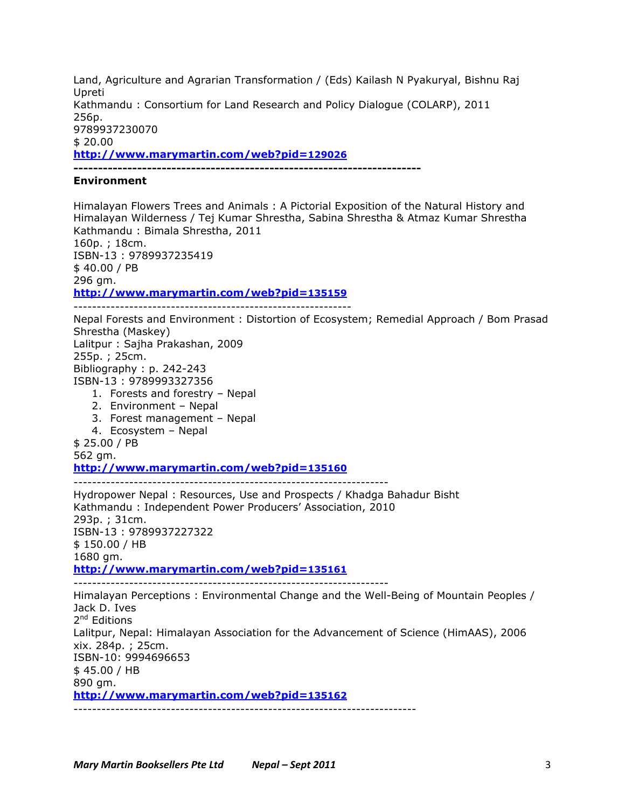Land, Agriculture and Agrarian Transformation / (Eds) Kailash N Pyakuryal, Bishnu Raj Upreti Kathmandu : Consortium for Land Research and Policy Dialogue (COLARP), 2011 256p. 9789937230070 \$ 20.00 **http://www.marymartin.com/web?pid=129026**

**-----------------------------------------------------------------------**

**Environment**

Himalayan Flowers Trees and Animals : A Pictorial Exposition of the Natural History and Himalayan Wilderness / Tej Kumar Shrestha, Sabina Shrestha & Atmaz Kumar Shrestha Kathmandu : Bimala Shrestha, 2011 160p. ; 18cm. ISBN-13 : 9789937235419 \$ 40.00 / PB 296 gm. **http://www.marymartin.com/web?pid=135159** ------------------------------------------------------------ Nepal Forests and Environment : Distortion of Ecosystem; Remedial Approach / Bom Prasad Shrestha (Maskey) Lalitpur : Sajha Prakashan, 2009 255p. ; 25cm. Bibliography : p. 242-243 ISBN-13 : 9789993327356 1. Forests and forestry – Nepal 2. Environment – Nepal 3. Forest management – Nepal 4. Ecosystem – Nepal \$ 25.00 / PB 562 gm. **http://www.marymartin.com/web?pid=135160** -------------------------------------------------------------------- Hydropower Nepal : Resources, Use and Prospects / Khadga Bahadur Bisht Kathmandu : Independent Power Producers' Association, 2010 293p. ; 31cm. ISBN-13 : 9789937227322 \$ 150.00 / HB 1680 gm. **http://www.marymartin.com/web?pid=135161** -------------------------------------------------------------------- Himalayan Perceptions : Environmental Change and the Well-Being of Mountain Peoples / Jack D. Ives 2<sup>nd</sup> Editions Lalitpur, Nepal: Himalayan Association for the Advancement of Science (HimAAS), 2006 xix. 284p. ; 25cm. ISBN-10: 9994696653 \$ 45.00 / HB 890 gm. **http://www.marymartin.com/web?pid=135162**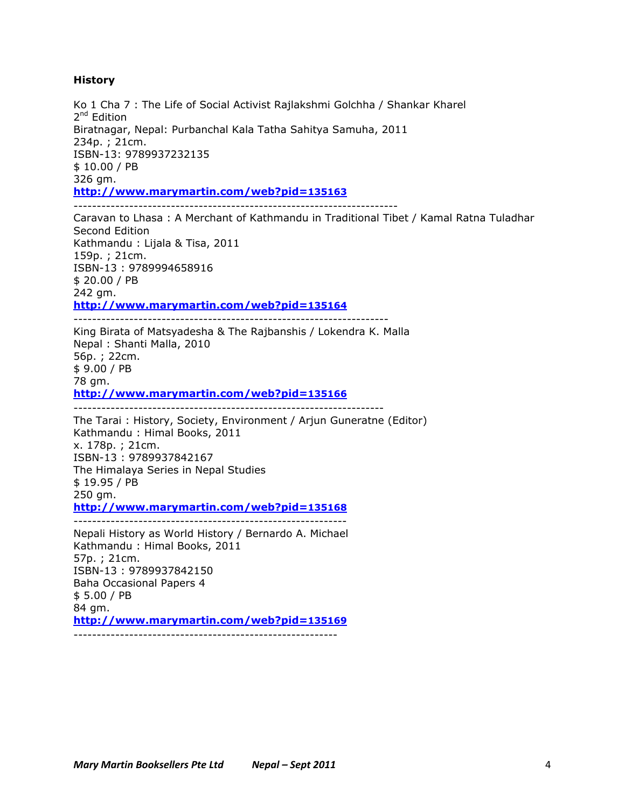#### **History**

Ko 1 Cha 7 : The Life of Social Activist Rajlakshmi Golchha / Shankar Kharel 2<sup>nd</sup> Edition Biratnagar, Nepal: Purbanchal Kala Tatha Sahitya Samuha, 2011 234p. ; 21cm. ISBN-13: 9789937232135 \$ 10.00 / PB 326 gm. **http://www.marymartin.com/web?pid=135163**

----------------------------------------------------------------------

Caravan to Lhasa : A Merchant of Kathmandu in Traditional Tibet / Kamal Ratna Tuladhar Second Edition Kathmandu : Lijala & Tisa, 2011 159p. ; 21cm. ISBN-13 : 9789994658916 \$ 20.00 / PB 242 gm. **http://www.marymartin.com/web?pid=135164**

--------------------------------------------------------------------

King Birata of Matsyadesha & The Rajbanshis / Lokendra K. Malla Nepal : Shanti Malla, 2010 56p. ; 22cm. \$ 9.00 / PB 78 gm. **http://www.marymartin.com/web?pid=135166**

-------------------------------------------------------------------

The Tarai : History, Society, Environment / Arjun Guneratne (Editor) Kathmandu : Himal Books, 2011 x. 178p. ; 21cm. ISBN-13 : 9789937842167 The Himalaya Series in Nepal Studies \$ 19.95 / PB 250 gm. **http://www.marymartin.com/web?pid=135168**

-----------------------------------------------------------

Nepali History as World History / Bernardo A. Michael Kathmandu : Himal Books, 2011 57p. ; 21cm. ISBN-13 : 9789937842150 Baha Occasional Papers 4 \$ 5.00 / PB 84 gm. **http://www.marymartin.com/web?pid=135169** ---------------------------------------------------------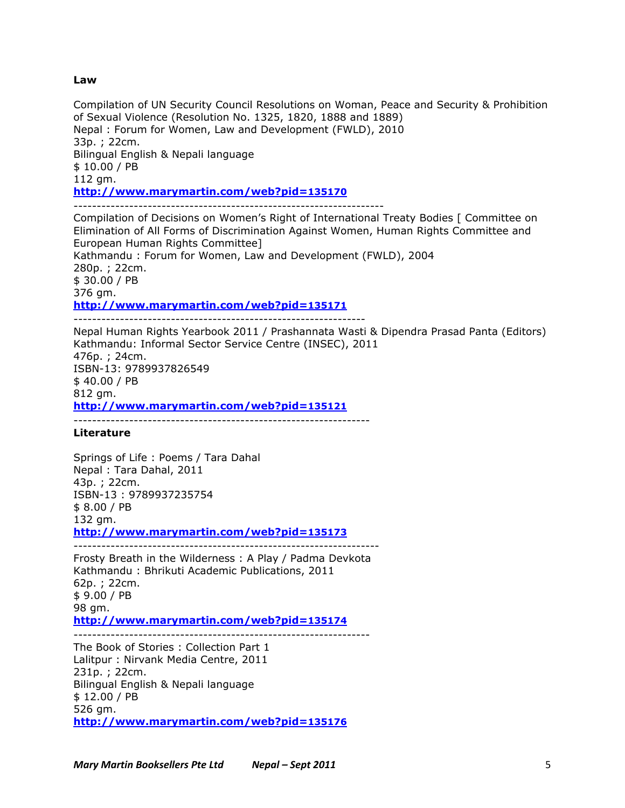#### **Law**

Compilation of UN Security Council Resolutions on Woman, Peace and Security & Prohibition of Sexual Violence (Resolution No. 1325, 1820, 1888 and 1889) Nepal : Forum for Women, Law and Development (FWLD), 2010 33p. ; 22cm. Bilingual English & Nepali language \$ 10.00 / PB 112 gm. **http://www.marymartin.com/web?pid=135170**

-------------------------------------------------------------------

Compilation of Decisions on Women's Right of International Treaty Bodies [ Committee on Elimination of All Forms of Discrimination Against Women, Human Rights Committee and European Human Rights Committee] Kathmandu : Forum for Women, Law and Development (FWLD), 2004 280p. ; 22cm. \$ 30.00 / PB 376 gm. **http://www.marymartin.com/web?pid=135171** ---------------------------------------------------------------

Nepal Human Rights Yearbook 2011 / Prashannata Wasti & Dipendra Prasad Panta (Editors)

Kathmandu: Informal Sector Service Centre (INSEC), 2011 476p. ; 24cm. ISBN-13: 9789937826549 \$ 40.00 / PB 812 gm. **http://www.marymartin.com/web?pid=135121**

----------------------------------------------------------------

### **Literature**

Springs of Life : Poems / Tara Dahal Nepal : Tara Dahal, 2011 43p. ; 22cm. ISBN-13 : 9789937235754 \$ 8.00 / PB 132 gm. **http://www.marymartin.com/web?pid=135173**

------------------------------------------------------------------

Frosty Breath in the Wilderness : A Play / Padma Devkota Kathmandu : Bhrikuti Academic Publications, 2011 62p. ; 22cm. \$ 9.00 / PB 98 gm. **http://www.marymartin.com/web?pid=135174** ----------------------------------------------------------------

The Book of Stories : Collection Part 1 Lalitpur : Nirvank Media Centre, 2011 231p. ; 22cm. Bilingual English & Nepali language \$ 12.00 / PB 526 gm. **http://www.marymartin.com/web?pid=135176**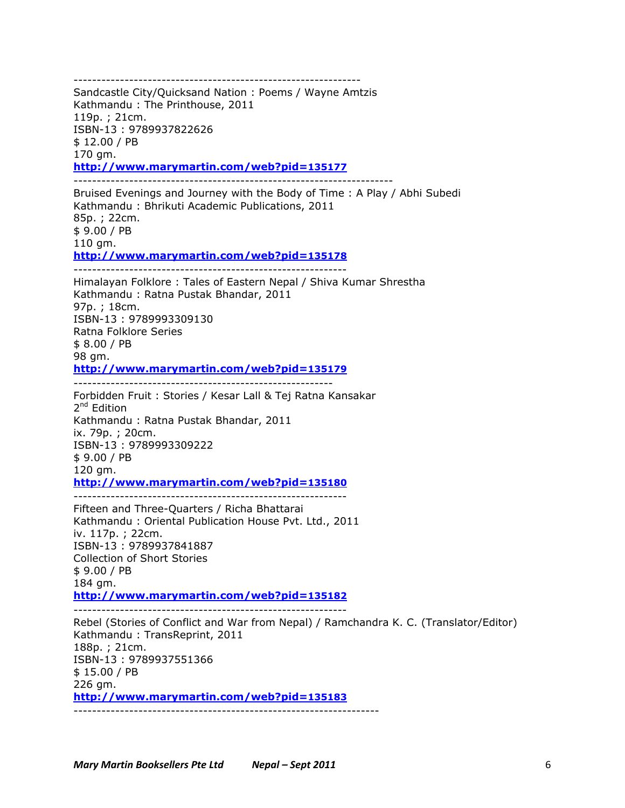Sandcastle City/Quicksand Nation : Poems / Wayne Amtzis Kathmandu : The Printhouse, 2011 119p. ; 21cm. ISBN-13 : 9789937822626 \$ 12.00 / PB 170 gm. **http://www.marymartin.com/web?pid=135177** --------------------------------------------------------------------- Bruised Evenings and Journey with the Body of Time : A Play / Abhi Subedi Kathmandu : Bhrikuti Academic Publications, 2011 85p. ; 22cm. \$ 9.00 / PB 110 gm. **http://www.marymartin.com/web?pid=135178** ----------------------------------------------------------- Himalayan Folklore : Tales of Eastern Nepal / Shiva Kumar Shrestha Kathmandu : Ratna Pustak Bhandar, 2011 97p. ; 18cm. ISBN-13 : 9789993309130 Ratna Folklore Series \$ 8.00 / PB 98 gm. **http://www.marymartin.com/web?pid=135179** -------------------------------------------------------- Forbidden Fruit : Stories / Kesar Lall & Tej Ratna Kansakar  $2^{nd}$  Edition Kathmandu : Ratna Pustak Bhandar, 2011 ix. 79p. ; 20cm. ISBN-13 : 9789993309222 \$ 9.00 / PB 120 gm. **http://www.marymartin.com/web?pid=135180** ----------------------------------------------------------- Fifteen and Three-Quarters / Richa Bhattarai Kathmandu : Oriental Publication House Pvt. Ltd., 2011 iv. 117p. ; 22cm. ISBN-13 : 9789937841887 Collection of Short Stories \$ 9.00 / PB 184 gm. **http://www.marymartin.com/web?pid=135182** ----------------------------------------------------------- Rebel (Stories of Conflict and War from Nepal) / Ramchandra K. C. (Translator/Editor) Kathmandu : TransReprint, 2011 188p. ; 21cm. ISBN-13 : 9789937551366 \$ 15.00 / PB 226 gm.

--------------------------------------------------------------

**http://www.marymartin.com/web?pid=135183**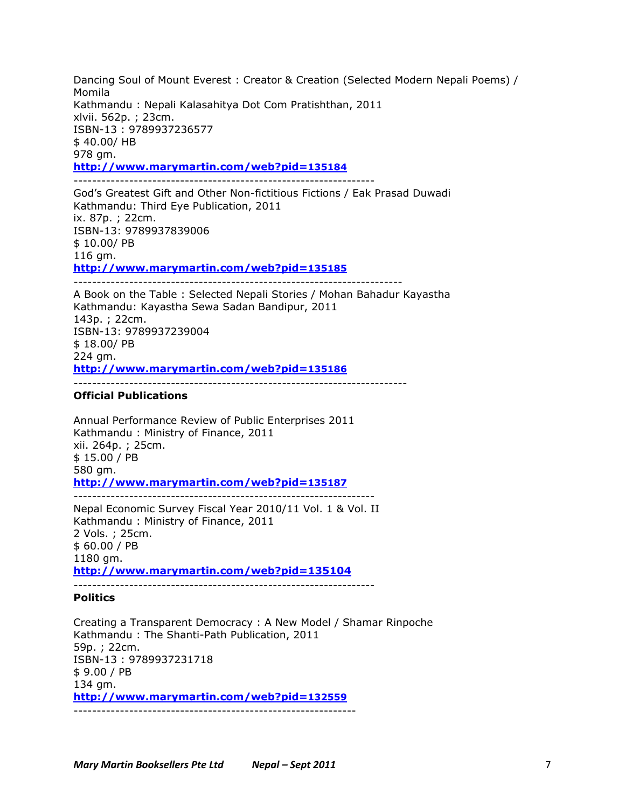Dancing Soul of Mount Everest : Creator & Creation (Selected Modern Nepali Poems) / Momila Kathmandu : Nepali Kalasahitya Dot Com Pratishthan, 2011 xlvii. 562p. ; 23cm. ISBN-13 : 9789937236577 \$ 40.00/ HB 978 gm. **http://www.marymartin.com/web?pid=135184**

----------------------------------------------------------------- God's Greatest Gift and Other Non-fictitious Fictions / Eak Prasad Duwadi Kathmandu: Third Eye Publication, 2011 ix. 87p. ; 22cm. ISBN-13: 9789937839006 \$ 10.00/ PB 116 gm. **http://www.marymartin.com/web?pid=135185**

A Book on the Table : Selected Nepali Stories / Mohan Bahadur Kayastha Kathmandu: Kayastha Sewa Sadan Bandipur, 2011 143p. ; 22cm. ISBN-13: 9789937239004 \$ 18.00/ PB 224 gm. **http://www.marymartin.com/web?pid=135186**

-----------------------------------------------------------------------

------------------------------------------------------------------------

### **Official Publications**

Annual Performance Review of Public Enterprises 2011 Kathmandu : Ministry of Finance, 2011 xii. 264p. ; 25cm. \$ 15.00 / PB 580 gm. **http://www.marymartin.com/web?pid=135187** -----------------------------------------------------------------

Nepal Economic Survey Fiscal Year 2010/11 Vol. 1 & Vol. II Kathmandu : Ministry of Finance, 2011 2 Vols. ; 25cm. \$ 60.00 / PB 1180 gm. **http://www.marymartin.com/web?pid=135104**

-----------------------------------------------------------------

## **Politics**

Creating a Transparent Democracy : A New Model / Shamar Rinpoche Kathmandu : The Shanti-Path Publication, 2011 59p. ; 22cm. ISBN-13 : 9789937231718 \$ 9.00 / PB 134 gm. **http://www.marymartin.com/web?pid=132559** -------------------------------------------------------------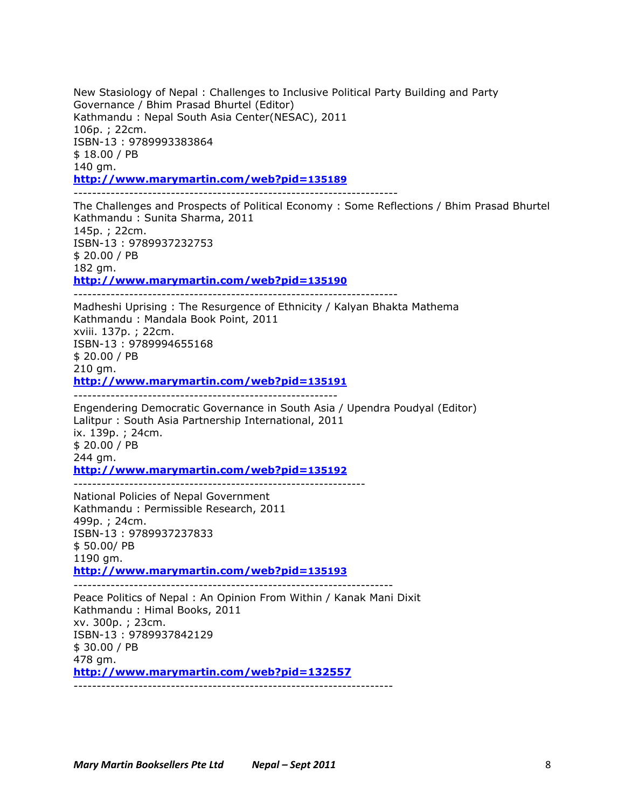New Stasiology of Nepal : Challenges to Inclusive Political Party Building and Party Governance / Bhim Prasad Bhurtel (Editor) Kathmandu : Nepal South Asia Center(NESAC), 2011 106p. ; 22cm. ISBN-13 : 9789993383864 \$ 18.00 / PB 140 gm. **http://www.marymartin.com/web?pid=135189** ----------------------------------------------------------------------

The Challenges and Prospects of Political Economy : Some Reflections / Bhim Prasad Bhurtel Kathmandu : Sunita Sharma, 2011 145p. ; 22cm. ISBN-13 : 9789937232753 \$ 20.00 / PB 182 gm. **http://www.marymartin.com/web?pid=135190** ----------------------------------------------------------------------

Madheshi Uprising : The Resurgence of Ethnicity / Kalyan Bhakta Mathema Kathmandu : Mandala Book Point, 2011 xviii. 137p. ; 22cm. ISBN-13 : 9789994655168 \$ 20.00 / PB 210 gm. **http://www.marymartin.com/web?pid=135191**

---------------------------------------------------------

---------------------------------------------------------------

Engendering Democratic Governance in South Asia / Upendra Poudyal (Editor) Lalitpur : South Asia Partnership International, 2011 ix. 139p. ; 24cm. \$ 20.00 / PB 244 gm. **http://www.marymartin.com/web?pid=135192**

National Policies of Nepal Government Kathmandu : Permissible Research, 2011 499p. ; 24cm. ISBN-13 : 9789937237833 \$ 50.00/ PB 1190 gm. **http://www.marymartin.com/web?pid=135193**

--------------------------------------------------------------------- Peace Politics of Nepal : An Opinion From Within / Kanak Mani Dixit Kathmandu : Himal Books, 2011 xv. 300p. ; 23cm. ISBN-13 : 9789937842129 \$ 30.00 / PB 478 gm. **http://www.marymartin.com/web?pid=132557** ---------------------------------------------------------------------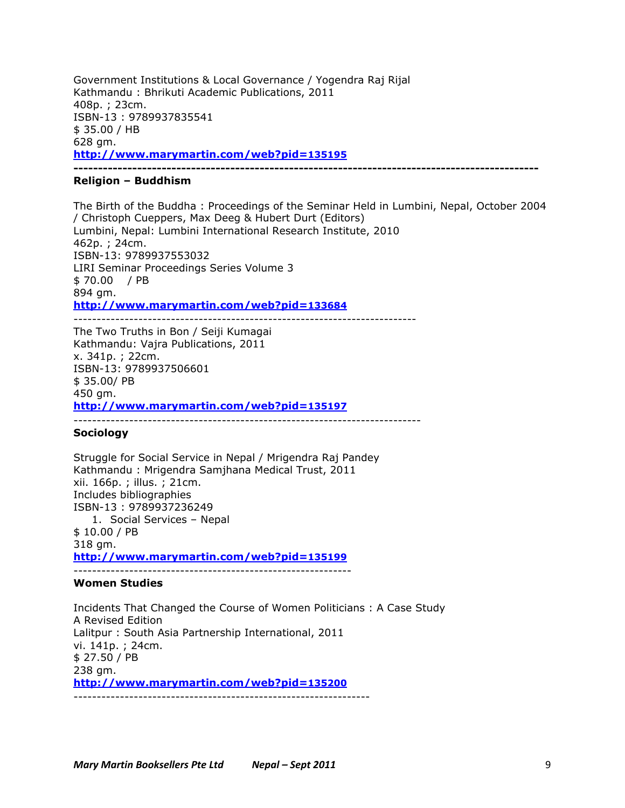Government Institutions & Local Governance / Yogendra Raj Rijal Kathmandu : Bhrikuti Academic Publications, 2011 408p. ; 23cm. ISBN-13 : 9789937835541 \$ 35.00 / HB 628 gm. **http://www.marymartin.com/web?pid=135195**

**-----------------------------------------------------------------------------------------------**

## **Religion – Buddhism**

The Birth of the Buddha : Proceedings of the Seminar Held in Lumbini, Nepal, October 2004 / Christoph Cueppers, Max Deeg & Hubert Durt (Editors) Lumbini, Nepal: Lumbini International Research Institute, 2010 462p. ; 24cm. ISBN-13: 9789937553032 LIRI Seminar Proceedings Series Volume 3 \$ 70.00 / PB 894 gm. **http://www.marymartin.com/web?pid=133684**

--------------------------------------------------------------------------

The Two Truths in Bon / Seiji Kumagai Kathmandu: Vajra Publications, 2011 x. 341p. ; 22cm. ISBN-13: 9789937506601 \$ 35.00/ PB 450 gm. **http://www.marymartin.com/web?pid=135197**

---------------------------------------------------------------------------

# **Sociology**

Struggle for Social Service in Nepal / Mrigendra Raj Pandey Kathmandu : Mrigendra Samjhana Medical Trust, 2011 xii. 166p. ; illus. ; 21cm. Includes bibliographies ISBN-13 : 9789937236249 1. Social Services – Nepal \$ 10.00 / PB 318 gm. **http://www.marymartin.com/web?pid=135199** ------------------------------------------------------------

### **Women Studies**

Incidents That Changed the Course of Women Politicians : A Case Study A Revised Edition Lalitpur : South Asia Partnership International, 2011 vi. 141p. ; 24cm. \$ 27.50 / PB 238 gm. **http://www.marymartin.com/web?pid=135200**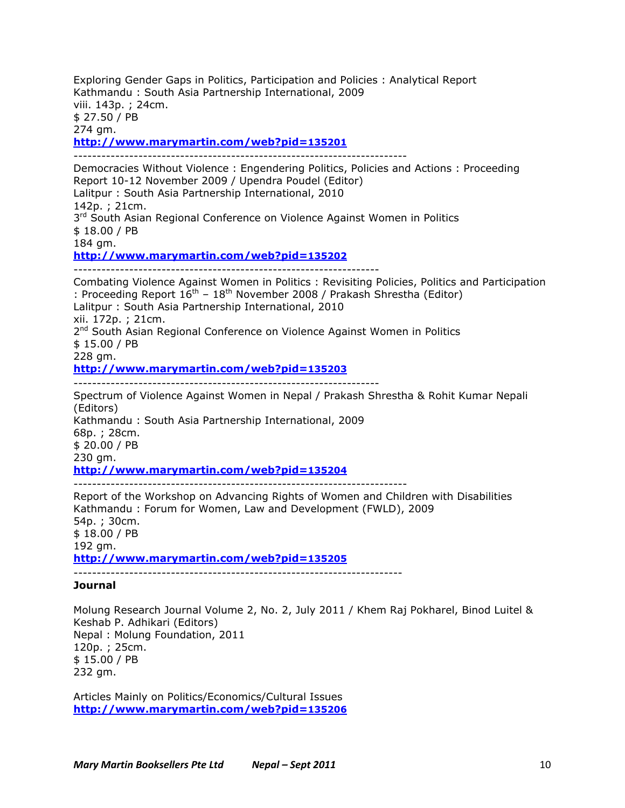Exploring Gender Gaps in Politics, Participation and Policies : Analytical Report Kathmandu : South Asia Partnership International, 2009 viii. 143p. ; 24cm. \$ 27.50 / PB 274 gm. **http://www.marymartin.com/web?pid=135201** ------------------------------------------------------------------------ Democracies Without Violence : Engendering Politics, Policies and Actions : Proceeding Report 10-12 November 2009 / Upendra Poudel (Editor) Lalitpur : South Asia Partnership International, 2010 142p. ; 21cm. 3<sup>rd</sup> South Asian Regional Conference on Violence Against Women in Politics \$ 18.00 / PB 184 gm. **http://www.marymartin.com/web?pid=135202**

Combating Violence Against Women in Politics : Revisiting Policies, Politics and Participation : Proceeding Report  $16^{th}$  –  $18^{th}$  November 2008 / Prakash Shrestha (Editor) Lalitpur : South Asia Partnership International, 2010 xii. 172p. ; 21cm. 2<sup>nd</sup> South Asian Regional Conference on Violence Against Women in Politics \$ 15.00 / PB 228 gm. **http://www.marymartin.com/web?pid=135203** ------------------------------------------------------------------

Spectrum of Violence Against Women in Nepal / Prakash Shrestha & Rohit Kumar Nepali (Editors) Kathmandu : South Asia Partnership International, 2009 68p. ; 28cm. \$ 20.00 / PB 230 am. **http://www.marymartin.com/web?pid=135204** ------------------------------------------------------------------------

Report of the Workshop on Advancing Rights of Women and Children with Disabilities Kathmandu : Forum for Women, Law and Development (FWLD), 2009 54p. ; 30cm. \$ 18.00 / PB 192 gm. **http://www.marymartin.com/web?pid=135205**

### **Journal**

Molung Research Journal Volume 2, No. 2, July 2011 / Khem Raj Pokharel, Binod Luitel & Keshab P. Adhikari (Editors) Nepal : Molung Foundation, 2011 120p. ; 25cm. \$ 15.00 / PB 232 gm.

Articles Mainly on Politics/Economics/Cultural Issues **http://www.marymartin.com/web?pid=135206**